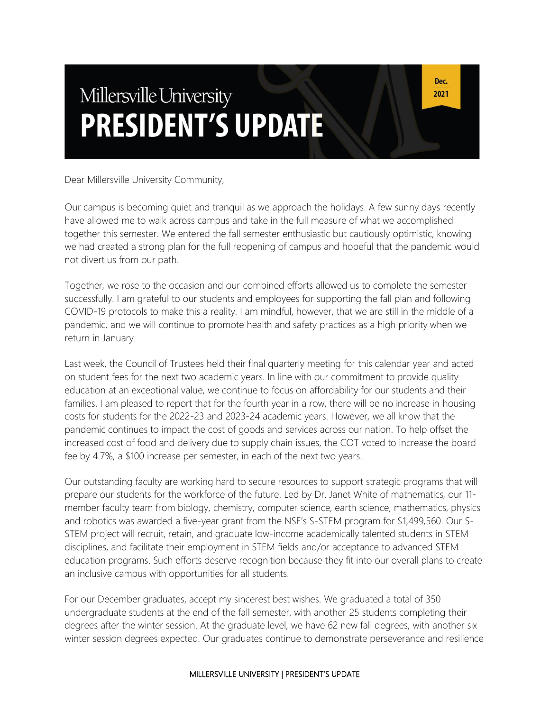# Millersville University **PRESIDENT'S UPDATE**

Dear Millersville University Community,

Our campus is becoming quiet and tranquil as we approach the holidays. A few sunny days recently have allowed me to walk across campus and take in the full measure of what we accomplished together this semester. We entered the fall semester enthusiastic but cautiously optimistic, knowing we had created a strong plan for the full reopening of campus and hopeful that the pandemic would not divert us from our path.

Together, we rose to the occasion and our combined efforts allowed us to complete the semester successfully. I am grateful to our students and employees for supporting the fall plan and following COVID-19 protocols to make this a reality. I am mindful, however, that we are still in the middle of a pandemic, and we will continue to promote health and safety practices as a high priority when we return in January.

Last week, the Council of Trustees held their final quarterly meeting for this calendar year and acted on student fees for the next two academic years. In line with our commitment to provide quality education at an exceptional value, we continue to focus on affordability for our students and their families. I am pleased to report that for the fourth year in a row, there will be no increase in housing costs for students for the 2022-23 and 2023-24 academic years. However, we all know that the pandemic continues to impact the cost of goods and services across our nation. To help offset the increased cost of food and delivery due to supply chain issues, the COT voted to increase the board fee by 4.7%, a \$100 increase per semester, in each of the next two years.

Our outstanding faculty are working hard to secure resources to support strategic programs that will prepare our students for the workforce of the future. Led by Dr. Janet White of mathematics, our 11 member faculty team from biology, chemistry, computer science, earth science, mathematics, physics and robotics was awarded a five-year grant from the NSF's S-STEM program for \$1,499,560. Our S-STEM project will recruit, retain, and graduate low-income academically talented students in STEM disciplines, and facilitate their employment in STEM fields and/or acceptance to advanced STEM education programs. Such efforts deserve recognition because they fit into our overall plans to create an inclusive campus with opportunities for all students.

For our December graduates, accept my sincerest best wishes. We graduated a total of 350 undergraduate students at the end of the fall semester, with another 25 students completing their degrees after the winter session. At the graduate level, we have 62 new fall degrees, with another six winter session degrees expected. Our graduates continue to demonstrate perseverance and resilience

#### MILLERSVILLE UNIVERSITY | PRESIDENT'S UPDATE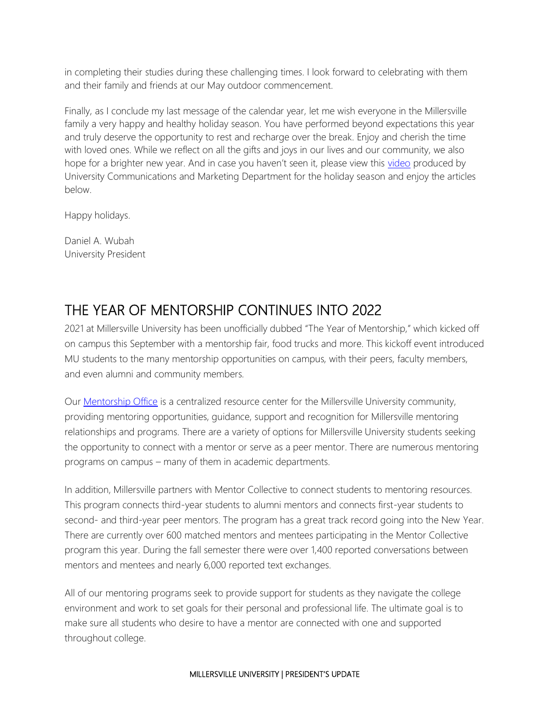in completing their studies during these challenging times. I look forward to celebrating with them and their family and friends at our May outdoor commencement.

Finally, as I conclude my last message of the calendar year, let me wish everyone in the Millersville family a very happy and healthy holiday season. You have performed beyond expectations this year and truly deserve the opportunity to rest and recharge over the break. Enjoy and cherish the time with loved ones. While we reflect on all the gifts and joys in our lives and our community, we also hope for a brighter new year. And in case you haven't seen it, please view this [video](https://www.youtube.com/watch?v=WddzGiawQZM&t=15s) produced by University Communications and Marketing Department for the holiday season and enjoy the articles below.

Happy holidays.

Daniel A. Wubah University President

# THE YEAR OF MENTORSHIP CONTINUES INTO 2022

2021 at Millersville University has been unofficially dubbed "The Year of Mentorship," which kicked off on campus this September with a mentorship fair, food trucks and more. This kickoff event introduced MU students to the many mentorship opportunities on campus, with their peers, faculty members, and even alumni and community members.

Our [Mentorship Office](https://www.millersville.edu/mentorship/index.php) is a centralized resource center for the Millersville University community, providing mentoring opportunities, guidance, support and recognition for Millersville mentoring relationships and programs. There are a variety of options for Millersville University students seeking the opportunity to connect with a mentor or serve as a peer mentor. There are numerous mentoring programs on campus – many of them in academic departments.

In addition, Millersville partners with Mentor Collective to connect students to mentoring resources. This program connects third-year students to alumni mentors and connects first-year students to second- and third-year peer mentors. The program has a great track record going into the New Year. There are currently over 600 matched mentors and mentees participating in the Mentor Collective program this year. During the fall semester there were over 1,400 reported conversations between mentors and mentees and nearly 6,000 reported text exchanges.

All of our mentoring programs seek to provide support for students as they navigate the college environment and work to set goals for their personal and professional life. The ultimate goal is to make sure all students who desire to have a mentor are connected with one and supported throughout college.

#### MILLERSVILLE UNIVERSITY | PRESIDENT'S UPDATE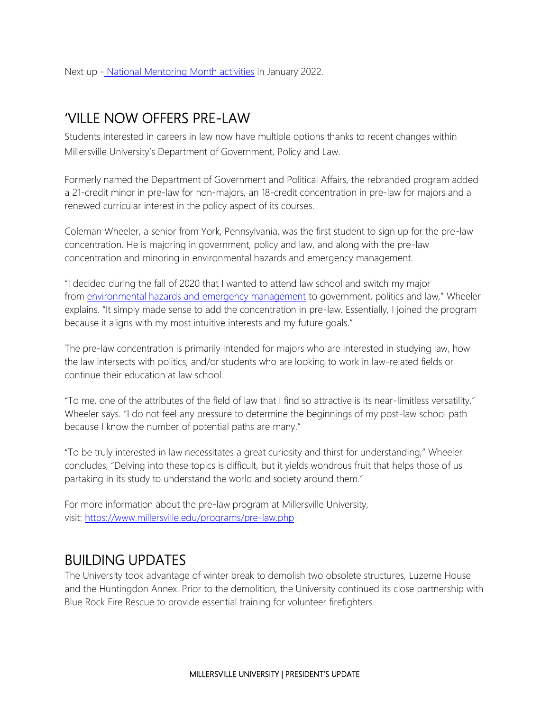Next up - [National Mentoring Month activities](https://www.millersville.edu/mentorship/mentorship-events.php) in January 2022.

### 'VILLE NOW OFFERS PRE-LAW

Students interested in careers in law now have multiple options thanks to recent changes within Millersville University's Department of Government, Policy and Law.

Formerly named the Department of Government and Political Affairs, the rebranded program added a 21-credit minor in pre-law for non-majors, an 18-credit concentration in pre-law for majors and a renewed curricular interest in the policy aspect of its courses.

Coleman Wheeler, a senior from York, Pennsylvania, was the first student to sign up for the pre-law concentration. He is majoring in government, policy and law, and along with the pre-law concentration and minoring in environmental hazards and emergency management.

"I decided during the fall of 2020 that I wanted to attend law school and switch my major from [environmental hazards and emergency management](https://www.millersville.edu/cdre/ehem-minor/) to government, politics and law," Wheeler explains. "It simply made sense to add the concentration in pre-law. Essentially, I joined the program because it aligns with my most intuitive interests and my future goals."

The pre-law concentration is primarily intended for majors who are interested in studying law, how the law intersects with politics, and/or students who are looking to work in law-related fields or continue their education at law school.

"To me, one of the attributes of the field of law that I find so attractive is its near-limitless versatility," Wheeler says. "I do not feel any pressure to determine the beginnings of my post-law school path because I know the number of potential paths are many."

"To be truly interested in law necessitates a great curiosity and thirst for understanding," Wheeler concludes, "Delving into these topics is difficult, but it yields wondrous fruit that helps those of us partaking in its study to understand the world and society around them."

For more information about the pre-law program at Millersville University, visit: <https://www.millersville.edu/programs/pre-law.php>

## BUILDING UPDATES

The University took advantage of winter break to demolish two obsolete structures, Luzerne House and the Huntingdon Annex. Prior to the demolition, the University continued its close partnership with Blue Rock Fire Rescue to provide essential training for volunteer firefighters.